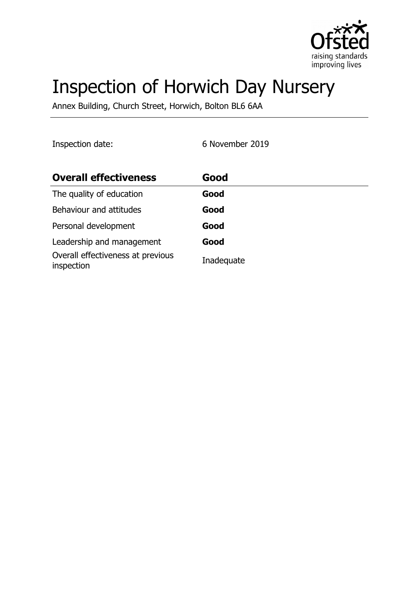

# Inspection of Horwich Day Nursery

Annex Building, Church Street, Horwich, Bolton BL6 6AA

Inspection date: 6 November 2019

| <b>Overall effectiveness</b>                    | Good       |
|-------------------------------------------------|------------|
| The quality of education                        | Good       |
| Behaviour and attitudes                         | Good       |
| Personal development                            | Good       |
| Leadership and management                       | Good       |
| Overall effectiveness at previous<br>inspection | Inadequate |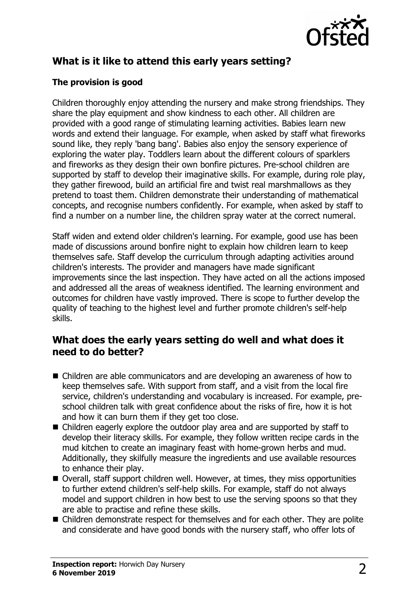

# **What is it like to attend this early years setting?**

#### **The provision is good**

Children thoroughly enjoy attending the nursery and make strong friendships. They share the play equipment and show kindness to each other. All children are provided with a good range of stimulating learning activities. Babies learn new words and extend their language. For example, when asked by staff what fireworks sound like, they reply 'bang bang'. Babies also enjoy the sensory experience of exploring the water play. Toddlers learn about the different colours of sparklers and fireworks as they design their own bonfire pictures. Pre-school children are supported by staff to develop their imaginative skills. For example, during role play, they gather firewood, build an artificial fire and twist real marshmallows as they pretend to toast them. Children demonstrate their understanding of mathematical concepts, and recognise numbers confidently. For example, when asked by staff to find a number on a number line, the children spray water at the correct numeral.

Staff widen and extend older children's learning. For example, good use has been made of discussions around bonfire night to explain how children learn to keep themselves safe. Staff develop the curriculum through adapting activities around children's interests. The provider and managers have made significant improvements since the last inspection. They have acted on all the actions imposed and addressed all the areas of weakness identified. The learning environment and outcomes for children have vastly improved. There is scope to further develop the quality of teaching to the highest level and further promote children's self-help skills.

## **What does the early years setting do well and what does it need to do better?**

- Children are able communicators and are developing an awareness of how to keep themselves safe. With support from staff, and a visit from the local fire service, children's understanding and vocabulary is increased. For example, preschool children talk with great confidence about the risks of fire, how it is hot and how it can burn them if they get too close.
- $\blacksquare$  Children eagerly explore the outdoor play area and are supported by staff to develop their literacy skills. For example, they follow written recipe cards in the mud kitchen to create an imaginary feast with home-grown herbs and mud. Additionally, they skilfully measure the ingredients and use available resources to enhance their play.
- $\blacksquare$  Overall, staff support children well. However, at times, they miss opportunities to further extend children's self-help skills. For example, staff do not always model and support children in how best to use the serving spoons so that they are able to practise and refine these skills.
- Children demonstrate respect for themselves and for each other. They are polite and considerate and have good bonds with the nursery staff, who offer lots of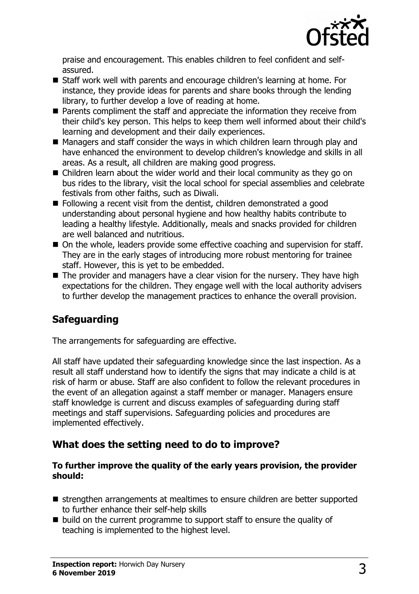

praise and encouragement. This enables children to feel confident and selfassured.

- Staff work well with parents and encourage children's learning at home. For instance, they provide ideas for parents and share books through the lending library, to further develop a love of reading at home.
- $\blacksquare$  Parents compliment the staff and appreciate the information they receive from their child's key person. This helps to keep them well informed about their child's learning and development and their daily experiences.
- $\blacksquare$  Managers and staff consider the ways in which children learn through play and have enhanced the environment to develop children's knowledge and skills in all areas. As a result, all children are making good progress.
- $\blacksquare$  Children learn about the wider world and their local community as they go on bus rides to the library, visit the local school for special assemblies and celebrate festivals from other faiths, such as Diwali.
- $\blacksquare$  Following a recent visit from the dentist, children demonstrated a good understanding about personal hygiene and how healthy habits contribute to leading a healthy lifestyle. Additionally, meals and snacks provided for children are well balanced and nutritious.
- $\blacksquare$  On the whole, leaders provide some effective coaching and supervision for staff. They are in the early stages of introducing more robust mentoring for trainee staff. However, this is yet to be embedded.
- $\blacksquare$  The provider and managers have a clear vision for the nursery. They have high expectations for the children. They engage well with the local authority advisers to further develop the management practices to enhance the overall provision.

# **Safeguarding**

The arrangements for safeguarding are effective.

All staff have updated their safeguarding knowledge since the last inspection. As a result all staff understand how to identify the signs that may indicate a child is at risk of harm or abuse. Staff are also confident to follow the relevant procedures in the event of an allegation against a staff member or manager. Managers ensure staff knowledge is current and discuss examples of safeguarding during staff meetings and staff supervisions. Safeguarding policies and procedures are implemented effectively.

## **What does the setting need to do to improve?**

#### **To further improve the quality of the early years provision, the provider should:**

- **n** strengthen arrangements at mealtimes to ensure children are better supported to further enhance their self-help skills
- $\blacksquare$  build on the current programme to support staff to ensure the quality of teaching is implemented to the highest level.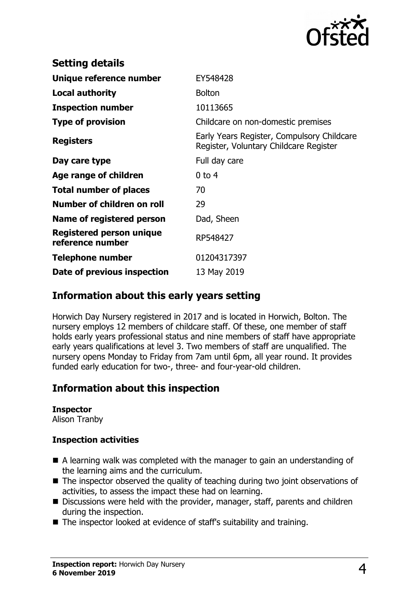

| EY548428                                                                             |
|--------------------------------------------------------------------------------------|
| <b>Bolton</b>                                                                        |
| 10113665                                                                             |
| Childcare on non-domestic premises                                                   |
| Early Years Register, Compulsory Childcare<br>Register, Voluntary Childcare Register |
| Full day care                                                                        |
| $0$ to 4                                                                             |
| 70                                                                                   |
| 29                                                                                   |
| Dad, Sheen                                                                           |
| RP548427                                                                             |
| 01204317397                                                                          |
| 13 May 2019                                                                          |
|                                                                                      |

## **Information about this early years setting**

Horwich Day Nursery registered in 2017 and is located in Horwich, Bolton. The nursery employs 12 members of childcare staff. Of these, one member of staff holds early years professional status and nine members of staff have appropriate early years qualifications at level 3. Two members of staff are unqualified. The nursery opens Monday to Friday from 7am until 6pm, all year round. It provides funded early education for two-, three- and four-year-old children.

## **Information about this inspection**

#### **Inspector**

Alison Tranby

#### **Inspection activities**

- $\blacksquare$  A learning walk was completed with the manager to gain an understanding of the learning aims and the curriculum.
- $\blacksquare$  The inspector observed the quality of teaching during two joint observations of activities, to assess the impact these had on learning.
- $\blacksquare$  Discussions were held with the provider, manager, staff, parents and children during the inspection.
- The inspector looked at evidence of staff's suitability and training.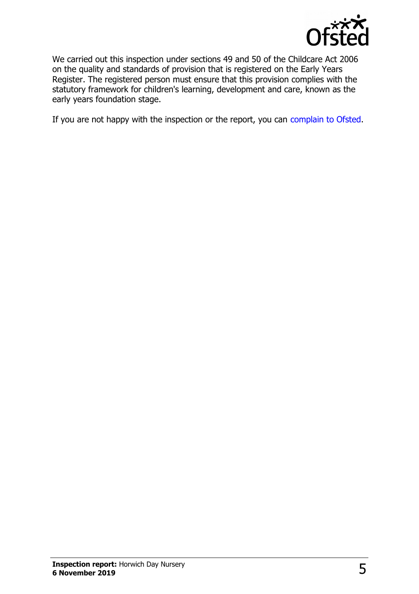

We carried out this inspection under sections 49 and 50 of the Childcare Act 2006 on the quality and standards of provision that is registered on the Early Years Register. The registered person must ensure that this provision complies with the statutory framework for children's learning, development and care, known as the early years foundation stage.

If you are not happy with the inspection or the report, you can [complain to Ofsted.](http://www.gov.uk/complain-ofsted-report)